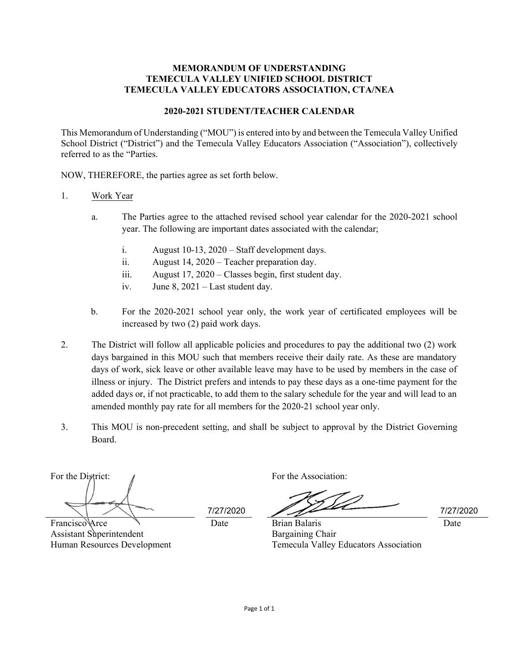## **MEMORANDUM OF UNDERSTANDING TEMECULA VALLEY UNIFIED SCHOOL DISTRICT TEMECULA VALLEY EDUCATORS ASSOCIATION, CTA/NEA**

## **2020-2021 STUDENT/TEACHER CALENDAR**

This Memorandum of Understanding ("MOU") is entered into by and between the Temecula Valley Unified School District ("District") and the Temecula Valley Educators Association ("Association"), collectively referred to as the "Parties.

NOW, THEREFORE, the parties agree as set forth below.

## 1. Work Year

- a. The Parties agree to the attached revised school year calendar for the 2020-2021 school year. The following are important dates associated with the calendar;
	- i. August 10-13, 2020 Staff development days.
	- ii. August 14, 2020 Teacher preparation day.
	- iii. August 17, 2020 Classes begin, first student day.
	- iv. June 8, 2021 Last student day.
- b. For the 2020-2021 school year only, the work year of certificated employees will be increased by two (2) paid work days.
- 2. The District will follow all applicable policies and procedures to pay the additional two (2) work days bargained in this MOU such that members receive their daily rate. As these are mandatory days of work, sick leave or other available leave may have to be used by members in the case of illness or injury. The District prefers and intends to pay these days as a one-time payment for the added days or, if not practicable, to add them to the salary schedule for the year and will lead to an amended monthly pay rate for all members for the 2020-21 school year only.
- 3. This MOU is non-precedent setting, and shall be subject to approval by the District Governing Board.

For the District:  $\sqrt{ }$ 

Francisco Arce Assistant Superintendent Human Resources Development

7/27/2020 7/27/2020

Date

Date Brian Balaris Bargaining Chair Temecula Valley Educators Association